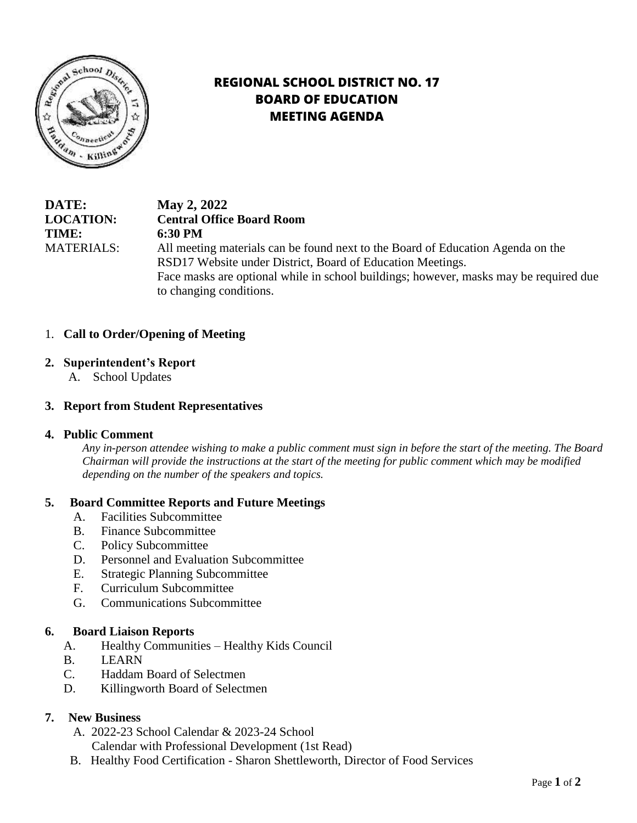

# **REGIONAL SCHOOL DISTRICT NO. 17 BOARD OF EDUCATION MEETING AGENDA**

**DATE: May 2, 2022 LOCATION: Central Office Board Room TIME: 6:30 PM** MATERIALS: All meeting materials can be found next to the Board of Education Agenda on the RSD17 Website under District, Board of Education Meetings. Face masks are optional while in school buildings; however, masks may be required due to changing conditions.

# 1. **Call to Order/Opening of Meeting**

## **2. Superintendent's Report**

A.School Updates

## **3. Report from Student Representatives**

#### **4. Public Comment**

*Any in-person attendee wishing to make a public comment must sign in before the start of the meeting. The Board Chairman will provide the instructions at the start of the meeting for public comment which may be modified depending on the number of the speakers and topics.*

#### **5. Board Committee Reports and Future Meetings**

- A. Facilities Subcommittee
- B. Finance Subcommittee
- C. Policy Subcommittee
- D. Personnel and Evaluation Subcommittee
- E. Strategic Planning Subcommittee
- F. Curriculum Subcommittee
- G. Communications Subcommittee

#### **6. Board Liaison Reports**

- A. Healthy Communities Healthy Kids Council
- B. LEARN
- C. Haddam Board of Selectmen
- D. Killingworth Board of Selectmen

#### **7. New Business**

- A. 2022-23 School Calendar & 2023-24 School
	- Calendar with Professional Development (1st Read)
- B. Healthy Food Certification Sharon Shettleworth, Director of Food Services